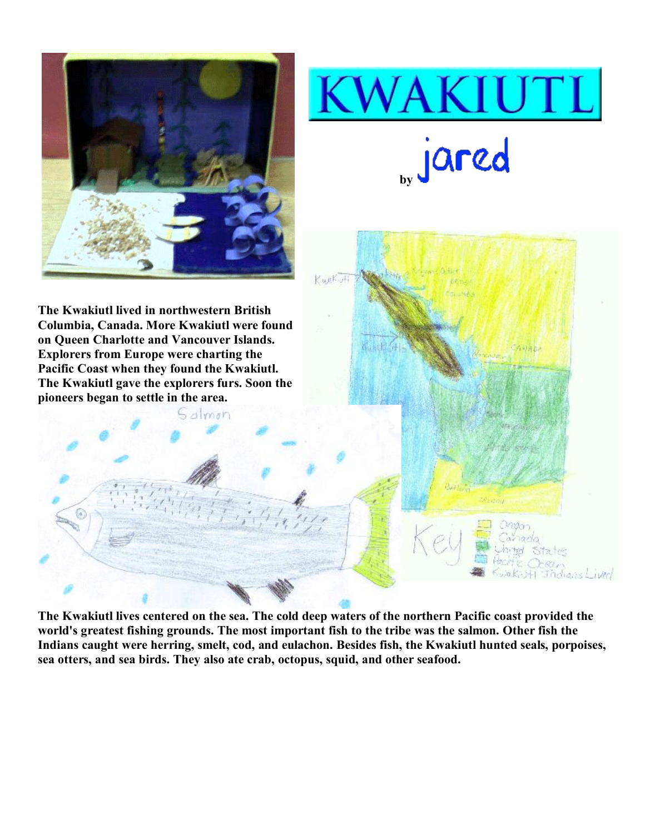





Salmon



**The Kwakiutl lives centered on the sea. The cold deep waters of the northern Pacific coast provided the world's greatest fishing grounds. The most important fish to the tribe was the salmon. Other fish the Indians caught were herring, smelt, cod, and eulachon. Besides fish, the Kwakiutl hunted seals, porpoises, sea otters, and sea birds. They also ate crab, octopus, squid, and other seafood.**